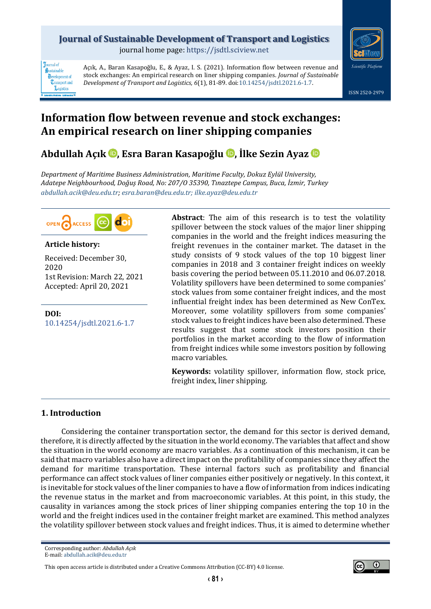## **Journal of Sustainable Development of Transport and Logistics**

journal home page: [https://jsdtl.sciview.net](https://jsdtl.sciview.net/)



**Tournal** of Sustainable **D**evelopment of **Transport** and Logistics

Açık, A., Baran Kasapoğlu, E., & Ayaz, I. S. (2021). Information flow between revenue and stock exchanges: An empirical research on liner shipping companies. *Journal of Sustainable Development of Transport and Logistics, 6*(1), 81-89. doi[:10.14254/jsdtl.2021.6-1.7.](https://doi.org/10.14254/jsdtl.2021.6-1.7)



# **Information flow between revenue and stock exchanges: An empirical research on liner shipping companies**

**Abdullah Açık [,](https://orcid.org/0000-0003-4542-9831) Esra Baran Kasapoğlu , İlke Sezin Ayaz**

*Department of Maritime Business Administration, Maritime Faculty, Dokuz Eylül University, Adatepe Neighbourhood, Doğuş Road, No: 207/O 35390, Tınaztepe Campus, Buca, İzmir, Turkey [abdullah.acik@deu.edu.tr;](mailto:abdullah.acik@deu.edu.tr) [esra.baran@deu.edu.tr;](mailto:esra.baran@deu.edu.tr) [ilke.ayaz@deu.edu.tr](mailto:ilke.ayaz@deu.edu.tr)*



#### **Article history:**

Received: December 30, 2020 1st Revision: March 22, 2021 Accepted: April 20, 2021

**DOI:** [10.14254/jsdtl.2021.6-1.7](https://doi.org/10.14254/jsdtl.2021.6-1.7) **Abstract**: The aim of this research is to test the volatility spillover between the stock values of the major liner shipping companies in the world and the freight indices measuring the freight revenues in the container market. The dataset in the study consists of 9 stock values of the top 10 biggest liner companies in 2018 and 3 container freight indices on weekly basis covering the period between 05.11.2010 and 06.07.2018. Volatility spillovers have been determined to some companies' stock values from some container freight indices, and the most influential freight index has been determined as New ConTex. Moreover, some volatility spillovers from some companies' stock values to freight indices have been also determined. These results suggest that some stock investors position their portfolios in the market according to the flow of information from freight indices while some investors position by following macro variables.

**Keywords:** volatility spillover, information flow, stock price, freight index, liner shipping.

### **1. Introduction**

Considering the container transportation sector, the demand for this sector is derived demand, therefore, it is directly affected by the situation in the world economy. The variables that affect and show the situation in the world economy are macro variables. As a continuation of this mechanism, it can be said that macro variables also have a direct impact on the profitability of companies since they affect the demand for maritime transportation. These internal factors such as profitability and financial performance can affect stock values of liner companies either positively or negatively. In this context, it is inevitable for stock values of the liner companies to have a flow of information from indices indicating the revenue status in the market and from macroeconomic variables. At this point, in this study, the causality in variances among the stock prices of liner shipping companies entering the top 10 in the world and the freight indices used in the container freight market are examined. This method analyzes the volatility spillover between stock values and freight indices. Thus, it is aimed to determine whether

This open access article is distributed under [a Creative Commons Attribution \(CC-BY\) 4.0 license.](http://creativecommons.org/licenses/by/4.0/)

Corresponding author: *Abdullah Açık*

E-mail[: abdullah.acik@deu.edu.tr](mailto:abdullah.acik@deu.edu.tr)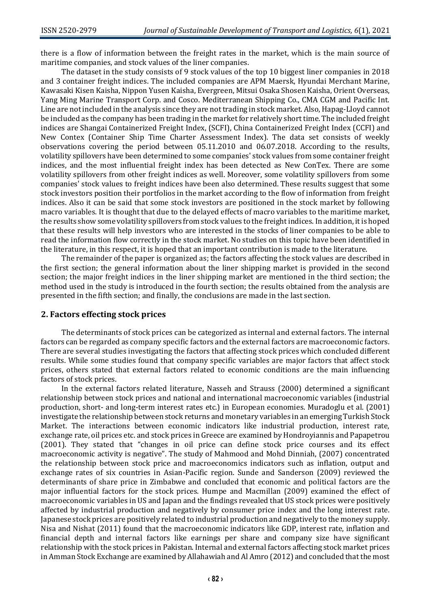there is a flow of information between the freight rates in the market, which is the main source of maritime companies, and stock values of the liner companies.

The dataset in the study consists of 9 stock values of the top 10 biggest liner companies in 2018 and 3 container freight indices. The included companies are APM Maersk, Hyundai Merchant Marine, Kawasaki Kisen Kaisha, Nippon Yusen Kaisha, Evergreen, Mitsui Osaka Shosen Kaisha, Orient Overseas, Yang Ming Marine Transport Corp. and Cosco. Mediterranean Shipping Co., CMA CGM and Pacific Int. Line are not included in the analysis since they are not trading in stock market. Also, Hapag-Lloyd cannot be included as the company has been trading in the market for relatively short time. The included freight indices are Shangai Containerized Freight Index, (SCFI), China Containerized Freight Index (CCFI) and New Contex (Container Ship Time Charter Assessment Index). The data set consists of weekly observations covering the period between 05.11.2010 and 06.07.2018. According to the results, volatility spillovers have been determined to some companies' stock values from some container freight indices, and the most influential freight index has been detected as New ConTex. There are some volatility spillovers from other freight indices as well. Moreover, some volatility spillovers from some companies' stock values to freight indices have been also determined. These results suggest that some stock investors position their portfolios in the market according to the flow of information from freight indices. Also it can be said that some stock investors are positioned in the stock market by following macro variables. It is thought that due to the delayed effects of macro variables to the maritime market, the results show some volatility spillovers from stock values to the freight indices. In addition, it is hoped that these results will help investors who are interested in the stocks of liner companies to be able to read the information flow correctly in the stock market. No studies on this topic have been identified in the literature, in this respect, it is hoped that an important contribution is made to the literature.

The remainder of the paper is organized as; the factors affecting the stock values are described in the first section; the general information about the liner shipping market is provided in the second section; the major freight indices in the liner shipping market are mentioned in the third section; the method used in the study is introduced in the fourth section; the results obtained from the analysis are presented in the fifth section; and finally, the conclusions are made in the last section.

#### **2. Factors effecting stock prices**

The determinants of stock prices can be categorized as internal and external factors. The internal factors can be regarded as company specific factors and the external factors are macroeconomic factors. There are several studies investigating the factors that affecting stock prices which concluded different results. While some studies found that company specific variables are major factors that affect stock prices, others stated that external factors related to economic conditions are the main influencing factors of stock prices.

In the external factors related literature, Nasseh and Strauss (2000) determined a significant relationship between stock prices and national and international macroeconomic variables (industrial production, short- and long-term interest rates etc.) in European economies. Muradoglu et al. (2001) investigate the relationship between stock returns and monetary variables in an emerging Turkish Stock Market. The interactions between economic indicators like industrial production, interest rate, exchange rate, oil prices etc. and stock prices in Greece are examined by Hondroyiannis and Papapetrou (2001). They stated that "changes in oil price can define stock price courses and its effect macroeconomic activity is negative". The study of Mahmood and Mohd Dinniah, (2007) concentrated the relationship between stock price and macroeconomics indicators such as inflation, output and exchange rates of six countries in Asian-Pacific region. Sunde and Sanderson (2009) reviewed the determinants of share price in Zimbabwe and concluded that economic and political factors are the major influential factors for the stock prices. Humpe and Macmillan (2009) examined the effect of macroeconomic variables in US and Japan and the findings revealed that US stock prices were positively affected by industrial production and negatively by consumer price index and the long interest rate. Japanese stock prices are positively related to industrial production and negatively to the money supply. Nisa and Nishat (2011) found that the macroeconomic indicators like GDP, interest rate, inflation and financial depth and internal factors like earnings per share and company size have significant relationship with the stock prices in Pakistan. Internal and external factors affecting stock market prices in Amman Stock Exchange are examined by Allahawiah and Al Amro (2012) and concluded that the most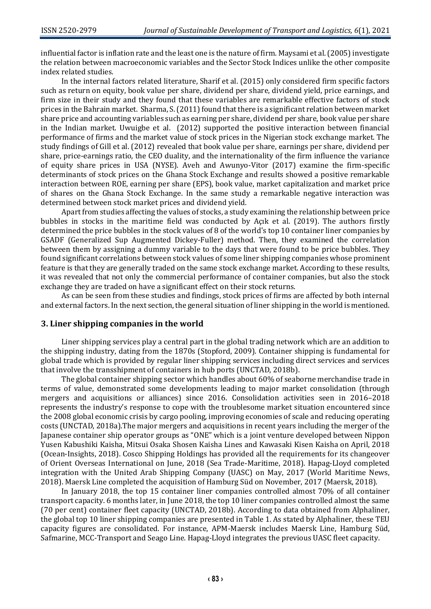influential factor is inflation rate and the least one is the nature of firm. Maysami et al. (2005) investigate the relation between macroeconomic variables and the Sector Stock Indices unlike the other composite index related studies.

In the internal factors related literature, Sharif et al. (2015) only considered firm specific factors such as return on equity, book value per share, dividend per share, dividend yield, price earnings, and firm size in their study and they found that these variables are remarkable effective factors of stock prices in the Bahrain market. Sharma, S. (2011) found that there is a significant relation between market share price and accounting variables such as earning per share, dividend per share, book value per share in the Indian market. Uwuigbe et al. (2012) supported the positive interaction between financial performance of firms and the market value of stock prices in the Nigerian stock exchange market. The study findings of Gill et al. (2012) revealed that book value per share, earnings per share, dividend per share, price-earnings ratio, the CEO duality, and the internationality of the firm influence the variance of equity share prices in USA (NYSE). Aveh and Awunyo-Vitor (2017) examine the firm-specific determinants of stock prices on the Ghana Stock Exchange and results showed a positive remarkable interaction between ROE, earning per share (EPS), book value, market capitalization and market price of shares on the Ghana Stock Exchange. In the same study a remarkable negative interaction was determined between stock market prices and dividend yield.

Apart from studies affecting the values of stocks, a study examining the relationship between price bubbles in stocks in the maritime field was conducted by Açık et al. (2019). The authors firstly determined the price bubbles in the stock values of 8 of the world's top 10 container liner companies by GSADF (Generalized Sup Augmented Dickey-Fuller) method. Then, they examined the correlation between them by assigning a dummy variable to the days that were found to be price bubbles. They found significant correlations between stock values of some liner shipping companies whose prominent feature is that they are generally traded on the same stock exchange market. According to these results, it was revealed that not only the commercial performance of container companies, but also the stock exchange they are traded on have a significant effect on their stock returns.

As can be seen from these studies and findings, stock prices of firms are affected by both internal and external factors. In the next section, the general situation of liner shipping in the world is mentioned.

#### **3. Liner shipping companies in the world**

Liner shipping services play a central part in the global trading network which are an addition to the shipping industry, dating from the 1870s (Stopford, 2009). Container shipping is fundamental for global trade which is provided by regular liner shipping services including direct services and services that involve the transshipment of containers in hub ports (UNCTAD, 2018b).

The global container shipping sector which handles about 60% of seaborne merchandise trade in terms of value, demonstrated some developments leading to major market consolidation (through mergers and acquisitions or alliances) since 2016. Consolidation activities seen in 2016–2018 represents the industry's response to cope with the troublesome market situation encountered since the 2008 global economic crisis by cargo pooling, improving economies of scale and reducing operating costs (UNCTAD, 2018a).The major mergers and acquisitions in recent years including the merger of the Japanese container ship operator groups as "ONE" which is a joint venture developed between Nippon Yusen Kabushiki Kaisha, Mitsui Osaka Shosen Kaisha Lines and Kawasaki Kisen Kaisha on April, 2018 (Ocean-Insights, 2018). Cosco Shipping Holdings has provided all the requirements for its changeover of Orient Overseas International on June, 2018 (Sea Trade-Maritime, 2018). Hapag-Lloyd completed integration with the United Arab Shipping Company (UASC) on May, 2017 (World Maritime News, 2018). Maersk Line completed the acquisition of Hamburg Süd on November, 2017 (Maersk, 2018).

In January 2018, the top 15 container liner companies controlled almost 70% of all container transport capacity. 6 months later, in June 2018, the top 10 liner companies controlled almost the same (70 per cent) container fleet capacity (UNCTAD, 2018b). According to data obtained from Alphaliner, the global top 10 liner shipping companies are presented in Table 1. As stated by Alphaliner, these TEU capacity figures are consolidated. For instance, APM-Maersk includes Maersk Line, Hamburg Süd, Safmarine, MCC-Transport and Seago Line. Hapag-Lloyd integrates the previous UASC fleet capacity.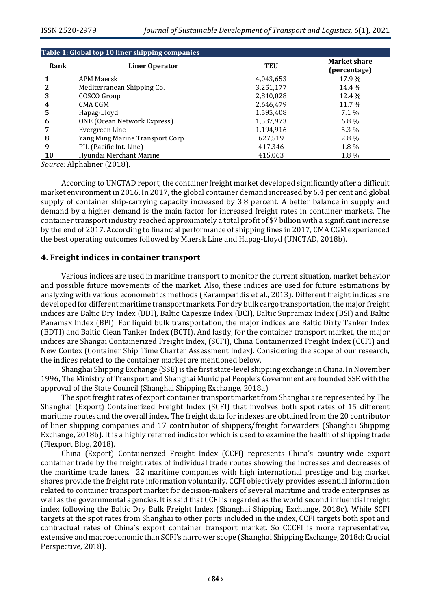| Table 1: Global top 10 liner shipping companies |                                    |            |                                     |  |  |  |  |  |
|-------------------------------------------------|------------------------------------|------------|-------------------------------------|--|--|--|--|--|
| Rank                                            | Liner Operator                     | <b>TEU</b> | <b>Market share</b><br>(percentage) |  |  |  |  |  |
|                                                 | <b>APM Maersk</b>                  | 4,043,653  | 17.9%                               |  |  |  |  |  |
| 2                                               | Mediterranean Shipping Co.         | 3,251,177  | 14.4 %                              |  |  |  |  |  |
| 3                                               | COSCO Group                        | 2,810,028  | 12.4 %                              |  |  |  |  |  |
| 4                                               | CMA CGM                            | 2,646,479  | 11.7 %                              |  |  |  |  |  |
| 5                                               | Hapag-Lloyd                        | 1,595,408  | 7.1 %                               |  |  |  |  |  |
| 6                                               | <b>ONE</b> (Ocean Network Express) | 1,537,973  | $6.8\%$                             |  |  |  |  |  |
|                                                 | Evergreen Line                     | 1,194,916  | 5.3 %                               |  |  |  |  |  |
| 8                                               | Yang Ming Marine Transport Corp.   | 627,519    | $2.8\%$                             |  |  |  |  |  |
| 9                                               | PIL (Pacific Int. Line)            | 417,346    | 1.8%                                |  |  |  |  |  |
| 10                                              | Hyundai Merchant Marine            | 415,063    | 1.8%                                |  |  |  |  |  |

*Source:* Alphaliner (2018).

According to UNCTAD report, the container freight market developed significantly after a difficult market environment in 2016. In 2017, the global container demand increased by 6.4 per cent and global supply of container ship-carrying capacity increased by 3.8 percent. A better balance in supply and demand by a higher demand is the main factor for increased freight rates in container markets. The container transport industry reached approximately a total profit of \$7 billion with a significant increase by the end of 2017. According to financial performance of shipping lines in 2017, CMA CGM experienced the best operating outcomes followed by Maersk Line and Hapag-Lloyd (UNCTAD, 2018b).

#### **4. Freight indices in container transport**

Various indices are used in maritime transport to monitor the current situation, market behavior and possible future movements of the market. Also, these indices are used for future estimations by analyzing with various econometrics methods (Karamperidis et al., 2013). Different freight indices are developed for different maritime transport markets. For dry bulk cargo transportation, the major freight indices are Baltic Dry Index (BDI), Baltic Capesize Index (BCI), Baltic Supramax Index (BSI) and Baltic Panamax Index (BPI). For liquid bulk transportation, the major indices are Baltic Dirty Tanker Index (BDTI) and Baltic Clean Tanker Index (BCTI). And lastly, for the container transport market, the major indices are Shangai Containerized Freight Index, (SCFI), China Containerized Freight Index (CCFI) and New Contex (Container Ship Time Charter Assessment Index). Considering the scope of our research, the indices related to the container market are mentioned below.

Shanghai Shipping Exchange (SSE) is the first state-level shipping exchange in China. In November 1996, The Ministry of Transport and Shanghai Municipal People's Government are founded SSE with the approval of the State Council (Shanghai Shipping Exchange, 2018a).

The spot freight rates of export container transport market from Shanghai are represented by The Shanghai (Export) Containerized Freight Index (SCFI) that involves both spot rates of 15 different maritime routes and the overall index. The freight data for indexes are obtained from the 20 contributor of liner shipping companies and 17 contributor of shippers/freight forwarders (Shanghai Shipping Exchange, 2018b). It is a highly referred indicator which is used to examine the health of shipping trade (Flexport Blog, 2018).

China (Export) Containerized Freight Index (CCFI) represents China's country-wide export container trade by the freight rates of individual trade routes showing the increases and decreases of the maritime trade lanes. 22 maritime companies with high international prestige and big market shares provide the freight rate information voluntarily. CCFI objectively provides essential information related to container transport market for decision-makers of several maritime and trade enterprises as well as the governmental agencies. It is said that CCFI is regarded as the world second influential freight index following the Baltic Dry Bulk Freight Index (Shanghai Shipping Exchange, 2018c). While SCFI targets at the spot rates from Shanghai to other ports included in the index, CCFI targets both spot and contractual rates of China's export container transport market. So CCCFI is more representative, extensive and macroeconomic than SCFI's narrower scope (Shanghai Shipping Exchange, 2018d; Crucial Perspective, 2018).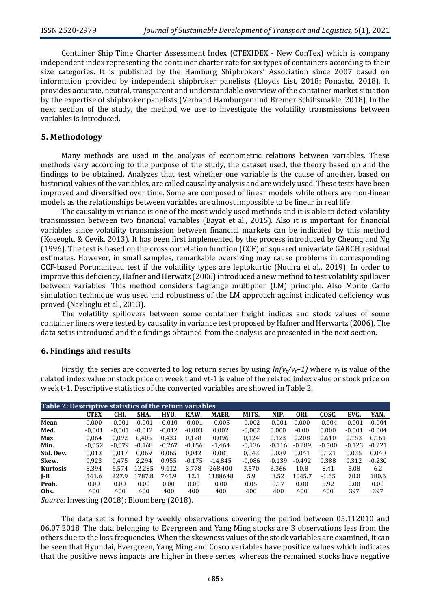Container Ship Time Charter Assessment Index (CTEXIDEX - New ConTex) which is company independent index representing the container charter rate for six types of containers according to their size categories. It is published by the Hamburg Shipbrokers' Association since 2007 based on information provided by independent shipbroker panelists (Lloyds List, 2018; Fonasba, 2018). It provides accurate, neutral, transparent and understandable overview of the container market situation by the expertise of shipbroker panelists (Verband Hamburger und Bremer Schiffsmakle, 2018). In the next section of the study, the method we use to investigate the volatility transmissions between variables is introduced.

#### **5. Methodology**

Many methods are used in the analysis of econometric relations between variables. These methods vary according to the purpose of the study, the dataset used, the theory based on and the findings to be obtained. Analyzes that test whether one variable is the cause of another, based on historical values of the variables, are called causality analysis and are widely used. These tests have been improved and diversified over time. Some are composed of linear models while others are non-linear models as the relationships between variables are almost impossible to be linear in real life.

The causality in variance is one of the most widely used methods and it is able to detect volatility transmission between two financial variables (Bayat et al., 2015). Also it is important for financial variables since volatility transmission between financial markets can be indicated by this method (Koseoglu & Cevik, 2013). It has been first implemented by the process introduced by Cheung and Ng (1996). The test is based on the cross correlation function (CCF) of squared univariate GARCH residual estimates. However, in small samples, remarkable oversizing may cause problems in corresponding CCF-based Portmanteau test if the volatility types are leptokurtic (Nouira et al., 2019). In order to improve this deficiency, Hafner and Herwatz (2006) introduced a new method to test volatility spillover between variables. This method considers Lagrange multiplier (LM) principle. Also Monte Carlo simulation technique was used and robustness of the LM approach against indicated deficiency was proved (Nazlioglu et al., 2013).

The volatility spillovers between some container freight indices and stock values of some container liners were tested by causality in variance test proposed by Hafner and Herwartz (2006). The data set is introduced and the findings obtained from the analysis are presented in the next section.

#### **6. Findings and results**

Firstly, the series are converted to log return series by using *ln(vt/vt−1)* where *v<sup>t</sup>* is value of the related index value or stock price on week t and vt-1 is value of the related index value or stock price on week t-1. Descriptive statistics of the converted variables are showed in Table 2.

| Table 2: Descriptive statistics of the return variables |             |          |          |          |          |           |          |          |          |          |          |          |
|---------------------------------------------------------|-------------|----------|----------|----------|----------|-----------|----------|----------|----------|----------|----------|----------|
|                                                         | <b>CTEX</b> | CHI.     | SHA.     | HYU.     | KAW.     | MAER.     | MITS.    | NIP.     | ORI.     | COSC.    | EVG.     | YAN.     |
| Mean                                                    | 0.000       | $-0.001$ | $-0.001$ | $-0.010$ | $-0.001$ | $-0,005$  | $-0,002$ | $-0.001$ | 0.000    | $-0.004$ | $-0.001$ | $-0.004$ |
| Med.                                                    | $-0.001$    | $-0.001$ | $-0.012$ | $-0.012$ | $-0.003$ | 0,002     | $-0.002$ | 0.000    | $-0.00$  | 0.000    | $-0.001$ | $-0.004$ |
| Max.                                                    | 0.064       | 0.092    | 0.405    | 0.433    | 0.128    | 0.096     | 0,124    | 0.123    | 0.208    | 0.610    | 0.153    | 0.161    |
| Min.                                                    | $-0.052$    | $-0.079$ | $-0.168$ | $-0.267$ | $-0,156$ | $-1,464$  | $-0.136$ | $-0.116$ | $-0.289$ | $-0.500$ | $-0.123$ | $-0.221$ |
| Std. Dev.                                               | 0,013       | 0.017    | 0.069    | 0,065    | 0.042    | 0,081     | 0,043    | 0.039    | 0.041    | 0.121    | 0.035    | 0.040    |
| Skew.                                                   | 0.923       | 0.475    | 2.294    | 0,955    | $-0,175$ | $-14.845$ | $-0.086$ | $-0.139$ | $-0.492$ | 0.388    | 0.312    | $-0.230$ |
| <b>Kurtosis</b>                                         | 8,394       | 6.574    | 12.285   | 9,412    | 3,778    | 268.400   | 3,570    | 3.366    | 10.8     | 8.41     | 5.08     | 6.2      |
| $I-B$                                                   | 541.6       | 227.9    | .787.8   | 745.9    | 12.1     | 1188648   | 5.9      | 3.52     | 1045.7   | $-1.65$  | 78.0     | 180.6    |
| Prob.                                                   | 0.00        | 0.00     | 0.00     | 0.00     | 0.00     | 0.00      | 0.05     | 0.17     | 0.00     | 5.92     | 0.00     | 0.00     |
| Obs.                                                    | 400         | 400      | 400      | 400      | 400      | 400       | 400      | 400      | 400      | 400      | 397      | 397      |

*Source:* Investing (2018); Bloomberg (2018).

The data set is formed by weekly observations covering the period between 05.112010 and 06.07.2018. The data belonging to Evergreen and Yang Ming stocks are 3 observations less from the others due to the loss frequencies. When the skewness values of the stock variables are examined, it can be seen that Hyundai, Evergreen, Yang Ming and Cosco variables have positive values which indicates that the positive news impacts are higher in these series, whereas the remained stocks have negative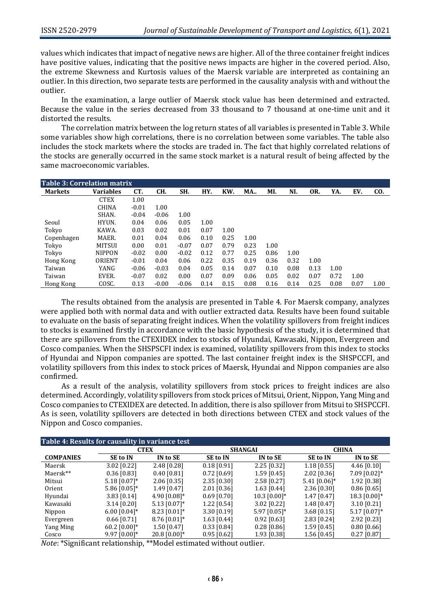values which indicates that impact of negative news are higher. All of the three container freight indices have positive values, indicating that the positive news impacts are higher in the covered period. Also, the extreme Skewness and Kurtosis values of the Maersk variable are interpreted as containing an outlier. In this direction, two separate tests are performed in the causality analysis with and without the outlier.

In the examination, a large outlier of Maersk stock value has been determined and extracted. Because the value in the series decreased from 33 thousand to 7 thousand at one-time unit and it distorted the results.

The correlation matrix between the log return states of all variables is presented in Table 3. While some variables show high correlations, there is no correlation between some variables. The table also includes the stock markets where the stocks are traded in. The fact that highly correlated relations of the stocks are generally occurred in the same stock market is a natural result of being affected by the same macroeconomic variables.

| <b>Table 3: Correlation matrix</b> |                  |         |         |         |      |      |            |      |      |      |      |      |      |
|------------------------------------|------------------|---------|---------|---------|------|------|------------|------|------|------|------|------|------|
| <b>Markets</b>                     | <b>Variables</b> | CT.     | CH.     | SH.     | HY.  | KW.  | <b>MA.</b> | MI.  | NI.  | OR.  | YA.  | EV.  | CO.  |
|                                    | <b>CTEX</b>      | 1.00    |         |         |      |      |            |      |      |      |      |      |      |
|                                    | <b>CHINA</b>     | $-0.01$ | 1.00    |         |      |      |            |      |      |      |      |      |      |
|                                    | SHAN.            | $-0.04$ | $-0.06$ | 1.00    |      |      |            |      |      |      |      |      |      |
| Seoul                              | HYUN.            | 0.04    | 0.06    | 0.05    | 1.00 |      |            |      |      |      |      |      |      |
| Tokyo                              | KAWA.            | 0.03    | 0.02    | 0.01    | 0.07 | 1.00 |            |      |      |      |      |      |      |
| Copenhagen                         | MAER.            | 0.01    | 0.04    | 0.06    | 0.10 | 0.25 | 1.00       |      |      |      |      |      |      |
| Tokyo                              | <b>MITSUI</b>    | 0.00    | 0.01    | $-0.07$ | 0.07 | 0.79 | 0.23       | 1.00 |      |      |      |      |      |
| Tokyo                              | <b>NIPPON</b>    | $-0.02$ | 0.00    | $-0.02$ | 0.12 | 0.77 | 0.25       | 0.86 | 1.00 |      |      |      |      |
| Hong Kong                          | ORIENT           | $-0.01$ | 0.04    | 0.06    | 0.22 | 0.35 | 0.19       | 0.36 | 0.32 | 1.00 |      |      |      |
| Taiwan                             | YANG             | $-0.06$ | $-0.03$ | 0.04    | 0.05 | 0.14 | 0.07       | 0.10 | 0.08 | 0.13 | 1.00 |      |      |
| Taiwan                             | EVER.            | $-0.07$ | 0.02    | 0.00    | 0.07 | 0.09 | 0.06       | 0.05 | 0.02 | 0.07 | 0.72 | 1.00 |      |
| Hong Kong                          | COSC.            | 0.13    | $-0.00$ | $-0.06$ | 0.14 | 0.15 | 0.08       | 0.16 | 0.14 | 0.25 | 0.08 | 0.07 | 1.00 |

The results obtained from the analysis are presented in Table 4. For Maersk company, analyzes were applied both with normal data and with outlier extracted data. Results have been found suitable to evaluate on the basis of separating freight indices. When the volatility spillovers from freight indices to stocks is examined firstly in accordance with the basic hypothesis of the study, it is determined that there are spillovers from the CTEXIDEX index to stocks of Hyundai, Kawasaki, Nippon, Evergreen and Cosco companies. When the SHSPSCFI index is examined, volatility spillovers from this index to stocks of Hyundai and Nippon companies are spotted. The last container freight index is the SHSPCCFI, and volatility spillovers from this index to stock prices of Maersk, Hyundai and Nippon companies are also confirmed.

As a result of the analysis, volatility spillovers from stock prices to freight indices are also determined. Accordingly, volatility spillovers from stock prices of Mitsui, Orient, Nippon, Yang Ming and Cosco companies to CTEXIDEX are detected. In addition, there is also spillover from Mitsui to SHSPCCFI. As is seen, volatility spillovers are detected in both directions between CTEX and stock values of the Nippon and Cosco companies.

| Table 4: Results for causality in variance test |                             |                |                 |                |                 |                            |  |  |  |  |
|-------------------------------------------------|-----------------------------|----------------|-----------------|----------------|-----------------|----------------------------|--|--|--|--|
|                                                 |                             | <b>CTEX</b>    |                 | <b>SHANGAI</b> | <b>CHINA</b>    |                            |  |  |  |  |
| <b>COMPANIES</b>                                | IN to SE<br><b>SE to IN</b> |                | <b>SE to IN</b> | IN to SE       | <b>SE to IN</b> | IN to SE                   |  |  |  |  |
| Maersk                                          | 3.02 [0.22]                 | 2.48 [0.28]    | $0.18$ [0.91]   | 2.25 [0.32]    | $1.18$ [0.55]   | 4.46 $[0.10]$              |  |  |  |  |
| Maersk**                                        | $0.36$ [0.83]               | $0.40$ [0.81]  | $0.72$ [0.69]   | $1.59$ [0.45]  | $2.02$ [0.36]   | $7.09$ [0.02]*             |  |  |  |  |
| Mitsui                                          | $5.18$ [0.07]*              | $2.06$ [0.35]  | $2.35$ [0.30]   | $2.58$ [0.27]  | $5.41$ [0.06]*  | 1.92 [0.38]                |  |  |  |  |
| Orient                                          | $5.86$ [0.05]*              | 1.49 [0.47]    | $2.01$ [0.36]   | $1.63$ [0.44]  | 2.36 [0.30]     | $0.86$ [0.65]              |  |  |  |  |
| Hyundai                                         | $3.83$ [0.14]               | 4.90 $[0.08]*$ | $0.69$ [0.70]   | $10.3$ [0.00]* | $1.47$ [0.47]   | 18.3 $[0.00]$ <sup>*</sup> |  |  |  |  |
| Kawasaki                                        | $3.14$ [0.20]               | $5.13$ [0.07]* | 1.22 [0.54]     | $3.02$ [0.22]  | 1.48 [0.47]     | $3.10$ [0.21]              |  |  |  |  |
| Nippon                                          | $6.00$ [0.04]*              | $8.23$ [0.01]* | $3.30$ [0.19]   | $5.97$ [0.05]* | $3.68$ [0.15]   | $5.17$ [0.07]*             |  |  |  |  |
| Evergreen                                       | $0.66$ [0.71]               | $8.76$ [0.01]* | $1.63$ [0.44]   | $0.92$ [0.63]  | $2.83$ [0.24]   | 2.92 [0.23]                |  |  |  |  |
| Yang Ming                                       | 60.2 $[0.00]*$              | $1.50$ [0.47]  | $0.33$ [0.84]   | $0.28$ [0.86]  | $1.59$ [0.45]   | $0.80$ [0.66]              |  |  |  |  |
| Cosco                                           | $9.97$ [0.00]*              | 20.8 [0.00]*   | $0.95$ [0.62]   | 1.93 [0.38]    | 1.56 [0.45]     | $0.27$ [0.87]              |  |  |  |  |

*Note*: \*Significant relationship, \*\*Model estimated without outlier.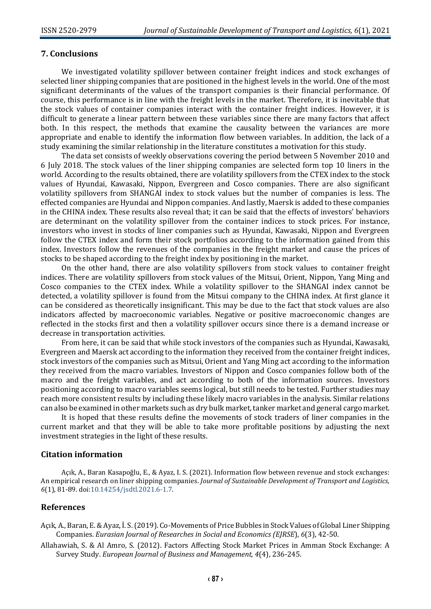#### **7. Conclusions**

We investigated volatility spillover between container freight indices and stock exchanges of selected liner shipping companies that are positioned in the highest levels in the world. One of the most significant determinants of the values of the transport companies is their financial performance. Of course, this performance is in line with the freight levels in the market. Therefore, it is inevitable that the stock values of container companies interact with the container freight indices. However, it is difficult to generate a linear pattern between these variables since there are many factors that affect both. In this respect, the methods that examine the causality between the variances are more appropriate and enable to identify the information flow between variables. In addition, the lack of a study examining the similar relationship in the literature constitutes a motivation for this study.

The data set consists of weekly observations covering the period between 5 November 2010 and 6 July 2018. The stock values of the liner shipping companies are selected form top 10 liners in the world. According to the results obtained, there are volatility spillovers from the CTEX index to the stock values of Hyundai, Kawasaki, Nippon, Evergreen and Cosco companies. There are also significant volatility spillovers from SHANGAI index to stock values but the number of companies is less. The effected companies are Hyundai and Nippon companies. And lastly, Maersk is added to these companies in the CHINA index. These results also reveal that; it can be said that the effects of investors' behaviors are determinant on the volatility spillover from the container indices to stock prices. For instance, investors who invest in stocks of liner companies such as Hyundai, Kawasaki, Nippon and Evergreen follow the CTEX index and form their stock portfolios according to the information gained from this index. Investors follow the revenues of the companies in the freight market and cause the prices of stocks to be shaped according to the freight index by positioning in the market.

On the other hand, there are also volatility spillovers from stock values to container freight indices. There are volatility spillovers from stock values of the Mitsui, Orient, Nippon, Yang Ming and Cosco companies to the CTEX index. While a volatility spillover to the SHANGAI index cannot be detected, a volatility spillover is found from the Mitsui company to the CHINA index. At first glance it can be considered as theoretically insignificant. This may be due to the fact that stock values are also indicators affected by macroeconomic variables. Negative or positive macroeconomic changes are reflected in the stocks first and then a volatility spillover occurs since there is a demand increase or decrease in transportation activities.

From here, it can be said that while stock investors of the companies such as Hyundai, Kawasaki, Evergreen and Maersk act according to the information they received from the container freight indices, stock investors of the companies such as Mitsui, Orient and Yang Ming act according to the information they received from the macro variables. Investors of Nippon and Cosco companies follow both of the macro and the freight variables, and act according to both of the information sources. Investors positioning according to macro variables seems logical, but still needs to be tested. Further studies may reach more consistent results by including these likely macro variables in the analysis. Similar relations can also be examined in other markets such as dry bulk market, tanker market and general cargo market.

It is hoped that these results define the movements of stock traders of liner companies in the current market and that they will be able to take more profitable positions by adjusting the next investment strategies in the light of these results.

#### **Citation information**

Açık, A., Baran Kasapoğlu, E., & Ayaz, I. S. (2021). Information flow between revenue and stock exchanges: An empirical research on liner shipping companies. *Journal of Sustainable Development of Transport and Logistics, 6*(1), 81-89. doi[:10.14254/jsdtl.2021.6-1.7.](https://doi.org/10.14254/jsdtl.2021.6-1.7)

#### **References**

- Açık, A., Baran, E. & Ayaz, İ. S. (2019). Co-Movements of Price Bubbles in Stock Values of Global Liner Shipping Companies. *Eurasian Journal of Researches in Social and Economics (EJRSE*), *6*(3), 42-50.
- Allahawiah, S. & Al Amro, S. (2012). Factors Affecting Stock Market Prices in Amman Stock Exchange: A Survey Study. *European Journal of Business and Management, 4*(4), 236-245.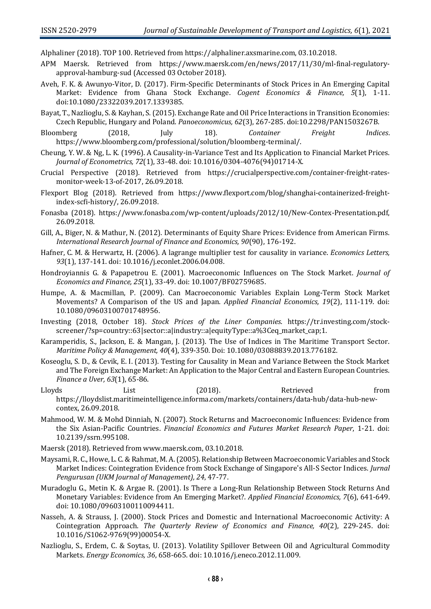Alphaliner (2018). TOP 100. Retrieved from https://alphaliner.axsmarine.com, 03.10.2018.

- APM Maersk. Retrieved from https://www.maersk.com/en/news/2017/11/30/ml-final-regulatoryapproval-hamburg-sud (Accessed 03 October 2018).
- Aveh, F. K. & Awunyo-Vitor, D. (2017). Firm-Specific Determinants of Stock Prices in An Emerging Capital Market: Evidence from Ghana Stock Exchange. *Cogent Economics & Finance, 5*(1), 1-11. doi:10.1080/23322039.2017.1339385.
- Bayat, T., Nazlioglu, S. & Kayhan, S. (2015). Exchange Rate and Oil Price Interactions in Transition Economies: Czech Republic, Hungary and Poland. *Panoeconomicus, 62*(3), 267-285. doi:10.2298/PAN1503267B.
- Bloomberg (2018, July 18). *Container Freight Indices*. https://www.bloomberg.com/professional/solution/bloomberg-terminal/.
- Cheung, Y. W. & Ng, L. K. (1996). A Causality-in-Variance Test and Its Application to Financial Market Prices. *Journal of Econometrics, 72*(1), 33-48. doi: 10.1016/0304-4076(94)01714-X.
- Crucial Perspective (2018). Retrieved from https://crucialperspective.com/container-freight-ratesmonitor-week-13-of-2017, 26.09.2018.
- Flexport Blog (2018). Retrieved from https://www.flexport.com/blog/shanghai-containerized-freightindex-scfi-history/, 26.09.2018.
- Fonasba (2018). https://www.fonasba.com/wp-content/uploads/2012/10/New-Contex-Presentation.pdf, 26.09.2018.
- Gill, A., Biger, N. & Mathur, N. (2012). Determinants of Equity Share Prices: Evidence from American Firms. *International Research Journal of Finance and Economics, 90*(90), 176-192.
- Hafner, C. M. & Herwartz, H. (2006). A lagrange multiplier test for causality in variance. *Economics Letters, 93*(1), 137-141. doi: 10.1016/j.econlet.2006.04.008.
- Hondroyiannis G. & Papapetrou E. (2001). Macroeconomic Influences on The Stock Market. *Journal of Economics and Finance, 25*(1), 33-49. doi: 10.1007/BF02759685.
- Humpe, A. & Macmillan, P. (2009). Can Macroeconomic Variables Explain Long-Term Stock Market Movements? A Comparison of the US and Japan. *Applied Financial Economics, 19*(2), 111-119. doi: 10.1080/09603100701748956.
- Investing (2018, October 18). *Stock Prices of the Liner Companies*. https://tr.investing.com/stockscreener/?sp=country::63|sector::a|industry::a|equityType::a%3Ceq\_market\_cap;1.
- Karamperidis, S., Jackson, E. & Mangan, J. (2013). The Use of Indices in The Maritime Transport Sector. *Maritime Policy & Management, 40*(4), 339-350. Doi: 10.1080/03088839.2013.776182.
- Koseoglu, S. D., & Cevik, E. I. (2013). Testing for Causality in Mean and Variance Between the Stock Market and The Foreign Exchange Market: An Application to the Major Central and Eastern European Countries. *Finance a Uver, 63*(1), 65-86.
- Lloyds List (2018). Retrieved from https://lloydslist.maritimeintelligence.informa.com/markets/containers/data-hub/data-hub-newcontex, 26.09.2018.
- Mahmood, W. M. & Mohd Dinniah, N. (2007). Stock Returns and Macroeconomic Influences: Evidence from the Six Asian-Pacific Countries. *Financial Economics and Futures Market Research Paper*, 1-21. doi: 10.2139/ssrn.995108.
- Maersk (2018). Retrieved from www.maersk.com, 03.10.2018.
- Maysami, R. C., Howe, L. C. & Rahmat, M. A. (2005). Relationship Between Macroeconomic Variables and Stock Market Indices: Cointegration Evidence from Stock Exchange of Singapore's All-S Sector Indices. *Jurnal Pengurusan (UKM Journal of Management), 24*, 47-77.
- Muradoglu G., Metin K. & Argae R. (2001). Is There a Long-Run Relationship Between Stock Returns And Monetary Variables: Evidence from An Emerging Market?. *Applied Financial Economics, 7*(6), 641-649. doi: 10.1080/09603100110094411.
- Nasseh, A. & Strauss, J. (2000). Stock Prices and Domestic and International Macroeconomic Activity: A Cointegration Approach. *The Quarterly Review of Economics and Finance, 40*(2), 229-245. doi: 10.1016/S1062-9769(99)00054-X.
- Nazlioglu, S., Erdem, C. & Soytas, U. (2013). Volatility Spillover Between Oil and Agricultural Commodity Markets. *Energy Economics, 36*, 658-665. doi: 10.1016/j.eneco.2012.11.009.